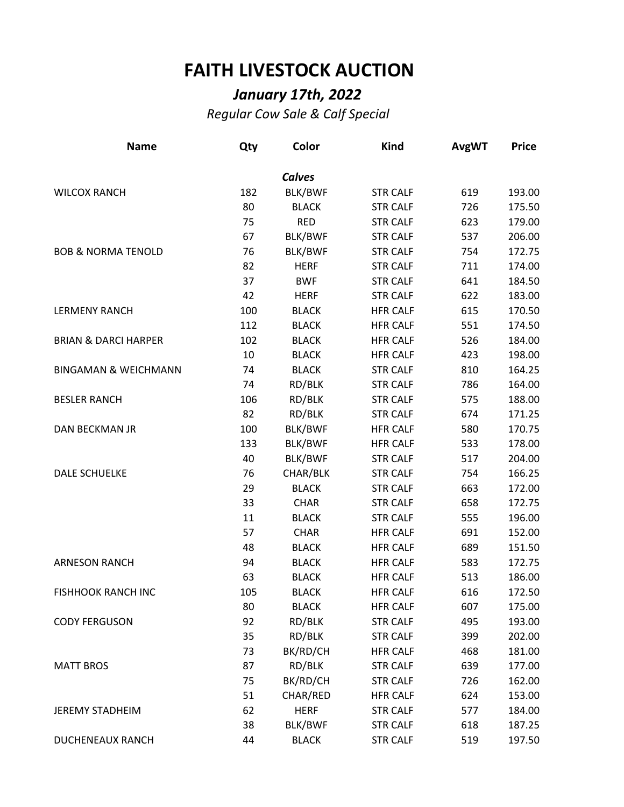## **FAITH LIVESTOCK AUCTION**

## *January 17th, 2022*

*Regular Cow Sale & Calf Special*

| <b>Name</b>                     | Qty | Color          | <b>Kind</b>     | <b>AvgWT</b> | <b>Price</b> |
|---------------------------------|-----|----------------|-----------------|--------------|--------------|
|                                 |     | <b>Calves</b>  |                 |              |              |
| <b>WILCOX RANCH</b>             | 182 | <b>BLK/BWF</b> | <b>STR CALF</b> | 619          | 193.00       |
|                                 | 80  | <b>BLACK</b>   | <b>STR CALF</b> | 726          | 175.50       |
|                                 | 75  | <b>RED</b>     | <b>STR CALF</b> | 623          | 179.00       |
|                                 | 67  | <b>BLK/BWF</b> | <b>STR CALF</b> | 537          | 206.00       |
| <b>BOB &amp; NORMA TENOLD</b>   | 76  | BLK/BWF        | <b>STR CALF</b> | 754          | 172.75       |
|                                 | 82  | <b>HERF</b>    | <b>STR CALF</b> | 711          | 174.00       |
|                                 | 37  | <b>BWF</b>     | <b>STR CALF</b> | 641          | 184.50       |
|                                 | 42  | <b>HERF</b>    | <b>STR CALF</b> | 622          | 183.00       |
| <b>LERMENY RANCH</b>            | 100 | <b>BLACK</b>   | <b>HFR CALF</b> | 615          | 170.50       |
|                                 | 112 | <b>BLACK</b>   | <b>HFR CALF</b> | 551          | 174.50       |
| <b>BRIAN &amp; DARCI HARPER</b> | 102 | <b>BLACK</b>   | <b>HFR CALF</b> | 526          | 184.00       |
|                                 | 10  | <b>BLACK</b>   | <b>HFR CALF</b> | 423          | 198.00       |
| <b>BINGAMAN &amp; WEICHMANN</b> | 74  | <b>BLACK</b>   | <b>STR CALF</b> | 810          | 164.25       |
|                                 | 74  | RD/BLK         | <b>STR CALF</b> | 786          | 164.00       |
| <b>BESLER RANCH</b>             | 106 | RD/BLK         | <b>STR CALF</b> | 575          | 188.00       |
|                                 | 82  | RD/BLK         | <b>STR CALF</b> | 674          | 171.25       |
| <b>DAN BECKMAN JR</b>           | 100 | <b>BLK/BWF</b> | <b>HFR CALF</b> | 580          | 170.75       |
|                                 | 133 | BLK/BWF        | <b>HFR CALF</b> | 533          | 178.00       |
|                                 | 40  | BLK/BWF        | <b>STR CALF</b> | 517          | 204.00       |
| <b>DALE SCHUELKE</b>            | 76  | CHAR/BLK       | <b>STR CALF</b> | 754          | 166.25       |
|                                 | 29  | <b>BLACK</b>   | <b>STR CALF</b> | 663          | 172.00       |
|                                 | 33  | <b>CHAR</b>    | <b>STR CALF</b> | 658          | 172.75       |
|                                 | 11  | <b>BLACK</b>   | <b>STR CALF</b> | 555          | 196.00       |
|                                 | 57  | <b>CHAR</b>    | <b>HFR CALF</b> | 691          | 152.00       |
|                                 | 48  | <b>BLACK</b>   | <b>HFR CALF</b> | 689          | 151.50       |
| <b>ARNESON RANCH</b>            | 94  | <b>BLACK</b>   | <b>HFR CALF</b> | 583          | 172.75       |
|                                 | 63  | <b>BLACK</b>   | <b>HFR CALF</b> | 513          | 186.00       |
| <b>FISHHOOK RANCH INC</b>       | 105 | <b>BLACK</b>   | <b>HFR CALF</b> | 616          | 172.50       |
|                                 | 80  | <b>BLACK</b>   | <b>HFR CALF</b> | 607          | 175.00       |
| <b>CODY FERGUSON</b>            | 92  | RD/BLK         | <b>STR CALF</b> | 495          | 193.00       |
|                                 | 35  | RD/BLK         | <b>STR CALF</b> | 399          | 202.00       |
|                                 | 73  | BK/RD/CH       | <b>HFR CALF</b> | 468          | 181.00       |
| <b>MATT BROS</b>                | 87  | RD/BLK         | <b>STR CALF</b> | 639          | 177.00       |
|                                 | 75  | BK/RD/CH       | <b>STR CALF</b> | 726          | 162.00       |
|                                 | 51  | CHAR/RED       | <b>HFR CALF</b> | 624          | 153.00       |
| <b>JEREMY STADHEIM</b>          | 62  | <b>HERF</b>    | <b>STR CALF</b> | 577          | 184.00       |
|                                 | 38  | BLK/BWF        | <b>STR CALF</b> | 618          | 187.25       |
| DUCHENEAUX RANCH                | 44  | <b>BLACK</b>   | <b>STR CALF</b> | 519          | 197.50       |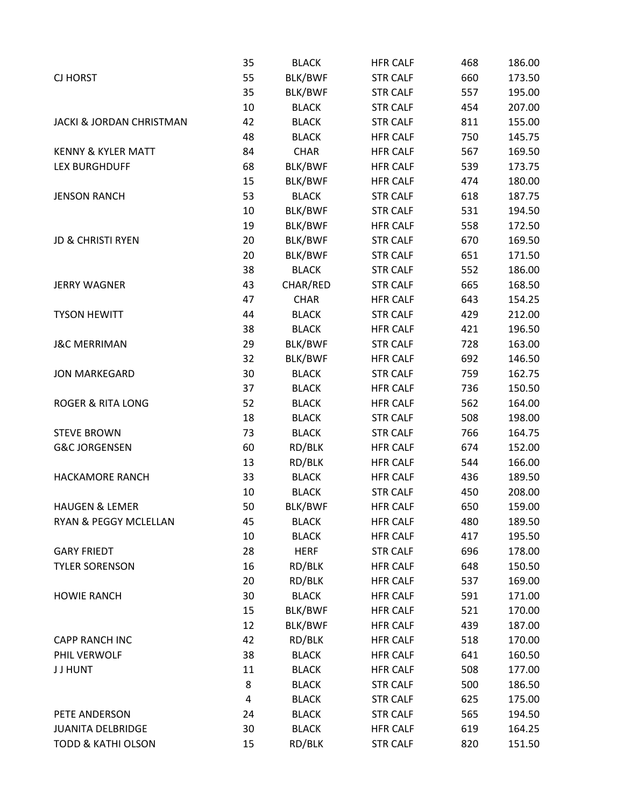|                                     | 35 | <b>BLACK</b> | <b>HFR CALF</b> | 468 | 186.00 |
|-------------------------------------|----|--------------|-----------------|-----|--------|
| <b>CJ HORST</b>                     | 55 | BLK/BWF      | <b>STR CALF</b> | 660 | 173.50 |
|                                     | 35 | BLK/BWF      | <b>STR CALF</b> | 557 | 195.00 |
|                                     | 10 | <b>BLACK</b> | <b>STR CALF</b> | 454 | 207.00 |
| <b>JACKI &amp; JORDAN CHRISTMAN</b> | 42 | <b>BLACK</b> | <b>STR CALF</b> | 811 | 155.00 |
|                                     | 48 | <b>BLACK</b> | <b>HFR CALF</b> | 750 | 145.75 |
| <b>KENNY &amp; KYLER MATT</b>       | 84 | <b>CHAR</b>  | <b>HFR CALF</b> | 567 | 169.50 |
| <b>LEX BURGHDUFF</b>                | 68 | BLK/BWF      | <b>HFR CALF</b> | 539 | 173.75 |
|                                     | 15 | BLK/BWF      | <b>HFR CALF</b> | 474 | 180.00 |
| <b>JENSON RANCH</b>                 | 53 | <b>BLACK</b> | <b>STR CALF</b> | 618 | 187.75 |
|                                     | 10 | BLK/BWF      | <b>STR CALF</b> | 531 | 194.50 |
|                                     | 19 | BLK/BWF      | <b>HFR CALF</b> | 558 | 172.50 |
| <b>JD &amp; CHRISTI RYEN</b>        | 20 | BLK/BWF      | <b>STR CALF</b> | 670 | 169.50 |
|                                     | 20 | BLK/BWF      | <b>STR CALF</b> | 651 | 171.50 |
|                                     | 38 | <b>BLACK</b> | <b>STR CALF</b> | 552 | 186.00 |
| <b>JERRY WAGNER</b>                 | 43 | CHAR/RED     | <b>STR CALF</b> | 665 | 168.50 |
|                                     | 47 | <b>CHAR</b>  | <b>HFR CALF</b> | 643 | 154.25 |
| <b>TYSON HEWITT</b>                 | 44 | <b>BLACK</b> | <b>STR CALF</b> | 429 | 212.00 |
|                                     | 38 | <b>BLACK</b> | <b>HFR CALF</b> | 421 | 196.50 |
| <b>J&amp;C MERRIMAN</b>             | 29 | BLK/BWF      | <b>STR CALF</b> | 728 | 163.00 |
|                                     | 32 | BLK/BWF      | <b>HFR CALF</b> | 692 | 146.50 |
| <b>JON MARKEGARD</b>                | 30 | <b>BLACK</b> | <b>STR CALF</b> | 759 | 162.75 |
|                                     | 37 | <b>BLACK</b> | <b>HFR CALF</b> | 736 | 150.50 |
| <b>ROGER &amp; RITA LONG</b>        | 52 | <b>BLACK</b> | <b>HFR CALF</b> | 562 | 164.00 |
|                                     | 18 | <b>BLACK</b> | <b>STR CALF</b> | 508 | 198.00 |
| <b>STEVE BROWN</b>                  | 73 | <b>BLACK</b> | <b>STR CALF</b> | 766 | 164.75 |
| <b>G&amp;C JORGENSEN</b>            | 60 | RD/BLK       | <b>HFR CALF</b> | 674 | 152.00 |
|                                     | 13 | RD/BLK       | <b>HFR CALF</b> | 544 | 166.00 |
| <b>HACKAMORE RANCH</b>              | 33 | <b>BLACK</b> | <b>HFR CALF</b> | 436 | 189.50 |
|                                     | 10 | <b>BLACK</b> | <b>STR CALF</b> | 450 | 208.00 |
| <b>HAUGEN &amp; LEMER</b>           | 50 | BLK/BWF      | <b>HFR CALF</b> | 650 | 159.00 |
| RYAN & PEGGY MCLELLAN               | 45 | <b>BLACK</b> | <b>HFR CALF</b> | 480 | 189.50 |
|                                     | 10 | <b>BLACK</b> | <b>HFR CALF</b> | 417 | 195.50 |
| <b>GARY FRIEDT</b>                  | 28 | <b>HERF</b>  | <b>STR CALF</b> | 696 | 178.00 |
| <b>TYLER SORENSON</b>               | 16 | RD/BLK       | <b>HFR CALF</b> | 648 | 150.50 |
|                                     | 20 | RD/BLK       | <b>HFR CALF</b> | 537 | 169.00 |
| <b>HOWIE RANCH</b>                  | 30 | <b>BLACK</b> | <b>HFR CALF</b> | 591 | 171.00 |
|                                     | 15 | BLK/BWF      | <b>HFR CALF</b> | 521 | 170.00 |
|                                     | 12 | BLK/BWF      | <b>HFR CALF</b> | 439 | 187.00 |
| <b>CAPP RANCH INC</b>               | 42 | RD/BLK       | <b>HFR CALF</b> | 518 | 170.00 |
| PHIL VERWOLF                        | 38 | <b>BLACK</b> | <b>HFR CALF</b> | 641 | 160.50 |
| J J HUNT                            | 11 | <b>BLACK</b> | <b>HFR CALF</b> | 508 | 177.00 |
|                                     | 8  | <b>BLACK</b> | <b>STR CALF</b> | 500 | 186.50 |
|                                     | 4  | <b>BLACK</b> | <b>STR CALF</b> | 625 | 175.00 |
| PETE ANDERSON                       | 24 | <b>BLACK</b> | <b>STR CALF</b> | 565 | 194.50 |
| <b>JUANITA DELBRIDGE</b>            | 30 | <b>BLACK</b> | <b>HFR CALF</b> | 619 | 164.25 |
| <b>TODD &amp; KATHI OLSON</b>       | 15 | RD/BLK       | <b>STR CALF</b> | 820 | 151.50 |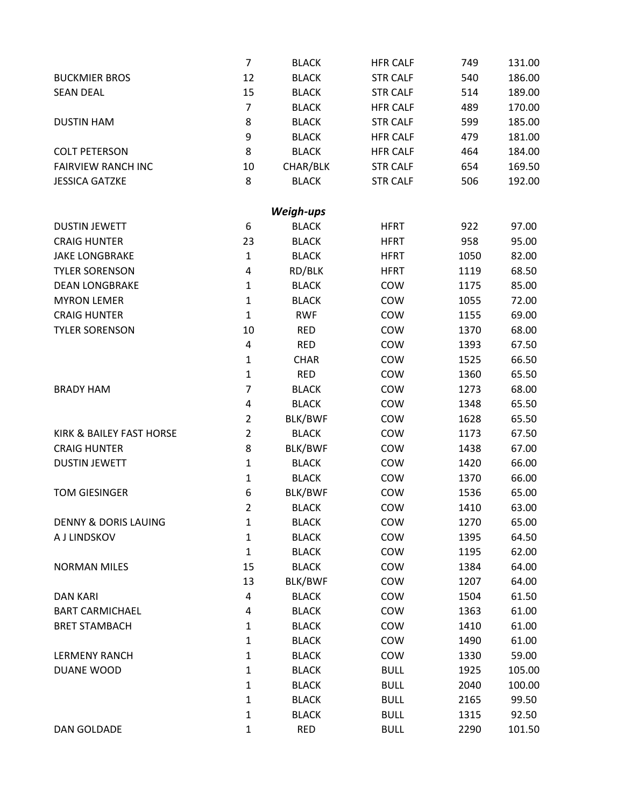|                                 | $\overline{7}$ | <b>BLACK</b> | <b>HFR CALF</b> | 749  | 131.00 |
|---------------------------------|----------------|--------------|-----------------|------|--------|
| <b>BUCKMIER BROS</b>            | 12             | <b>BLACK</b> | <b>STR CALF</b> | 540  | 186.00 |
| <b>SEAN DEAL</b>                | 15             | <b>BLACK</b> | <b>STR CALF</b> | 514  | 189.00 |
|                                 | 7              | <b>BLACK</b> | <b>HFR CALF</b> | 489  | 170.00 |
| <b>DUSTIN HAM</b>               | 8              | <b>BLACK</b> | <b>STR CALF</b> | 599  | 185.00 |
|                                 | 9              | <b>BLACK</b> | <b>HFR CALF</b> | 479  | 181.00 |
| <b>COLT PETERSON</b>            | 8              | <b>BLACK</b> | <b>HFR CALF</b> | 464  | 184.00 |
| <b>FAIRVIEW RANCH INC</b>       | 10             | CHAR/BLK     | <b>STR CALF</b> | 654  | 169.50 |
| <b>JESSICA GATZKE</b>           | 8              | <b>BLACK</b> | <b>STR CALF</b> | 506  | 192.00 |
|                                 |                | Weigh-ups    |                 |      |        |
| <b>DUSTIN JEWETT</b>            | 6              | <b>BLACK</b> | <b>HFRT</b>     | 922  | 97.00  |
| <b>CRAIG HUNTER</b>             | 23             | <b>BLACK</b> | <b>HFRT</b>     | 958  | 95.00  |
| <b>JAKE LONGBRAKE</b>           | $\mathbf{1}$   | <b>BLACK</b> | <b>HFRT</b>     | 1050 | 82.00  |
| <b>TYLER SORENSON</b>           | 4              | RD/BLK       | <b>HFRT</b>     | 1119 | 68.50  |
| <b>DEAN LONGBRAKE</b>           | $\mathbf 1$    | <b>BLACK</b> | COW             | 1175 | 85.00  |
| <b>MYRON LEMER</b>              | $\mathbf 1$    | <b>BLACK</b> | COW             | 1055 | 72.00  |
| <b>CRAIG HUNTER</b>             | $\mathbf{1}$   | <b>RWF</b>   | COW             | 1155 | 69.00  |
| <b>TYLER SORENSON</b>           | 10             | <b>RED</b>   | COW             | 1370 | 68.00  |
|                                 | 4              | <b>RED</b>   | COW             | 1393 | 67.50  |
|                                 | $\mathbf{1}$   | <b>CHAR</b>  | COW             | 1525 | 66.50  |
|                                 | $\mathbf 1$    | <b>RED</b>   | COW             | 1360 | 65.50  |
| <b>BRADY HAM</b>                | 7              | <b>BLACK</b> | COW             | 1273 | 68.00  |
|                                 | 4              | <b>BLACK</b> | COW             | 1348 | 65.50  |
|                                 | $\overline{2}$ | BLK/BWF      | COW             | 1628 | 65.50  |
| KIRK & BAILEY FAST HORSE        | $\overline{2}$ | <b>BLACK</b> | COW             | 1173 | 67.50  |
| <b>CRAIG HUNTER</b>             | 8              | BLK/BWF      | COW             | 1438 | 67.00  |
| <b>DUSTIN JEWETT</b>            | $\mathbf 1$    | <b>BLACK</b> | COW             | 1420 | 66.00  |
|                                 | $\mathbf 1$    | <b>BLACK</b> | COW             | 1370 | 66.00  |
| <b>TOM GIESINGER</b>            | 6              | BLK/BWF      | COW             | 1536 | 65.00  |
|                                 | $\overline{2}$ | <b>BLACK</b> | COW             | 1410 | 63.00  |
| <b>DENNY &amp; DORIS LAUING</b> | $\mathbf{1}$   | <b>BLACK</b> | COW             | 1270 | 65.00  |
| A J LINDSKOV                    | $\mathbf{1}$   | <b>BLACK</b> | COW             | 1395 | 64.50  |
|                                 | $\mathbf 1$    | <b>BLACK</b> | COW             | 1195 | 62.00  |
| <b>NORMAN MILES</b>             | 15             | <b>BLACK</b> | COW             | 1384 | 64.00  |
|                                 | 13             | BLK/BWF      | COW             | 1207 | 64.00  |
| <b>DAN KARI</b>                 | 4              | <b>BLACK</b> | COW             | 1504 | 61.50  |
| <b>BART CARMICHAEL</b>          | 4              | <b>BLACK</b> | COW             | 1363 | 61.00  |
| <b>BRET STAMBACH</b>            | $\mathbf{1}$   | <b>BLACK</b> | COW             | 1410 | 61.00  |
|                                 | $\mathbf{1}$   | <b>BLACK</b> | COW             | 1490 | 61.00  |
| <b>LERMENY RANCH</b>            | $\mathbf 1$    | <b>BLACK</b> | COW             | 1330 | 59.00  |
| DUANE WOOD                      | $\mathbf 1$    | <b>BLACK</b> | <b>BULL</b>     | 1925 | 105.00 |
|                                 | $\mathbf 1$    | <b>BLACK</b> | <b>BULL</b>     | 2040 | 100.00 |
|                                 | $\mathbf 1$    | <b>BLACK</b> | <b>BULL</b>     | 2165 | 99.50  |
|                                 | $\mathbf 1$    | <b>BLACK</b> | <b>BULL</b>     | 1315 | 92.50  |
| DAN GOLDADE                     | $\mathbf{1}$   | <b>RED</b>   | <b>BULL</b>     | 2290 | 101.50 |